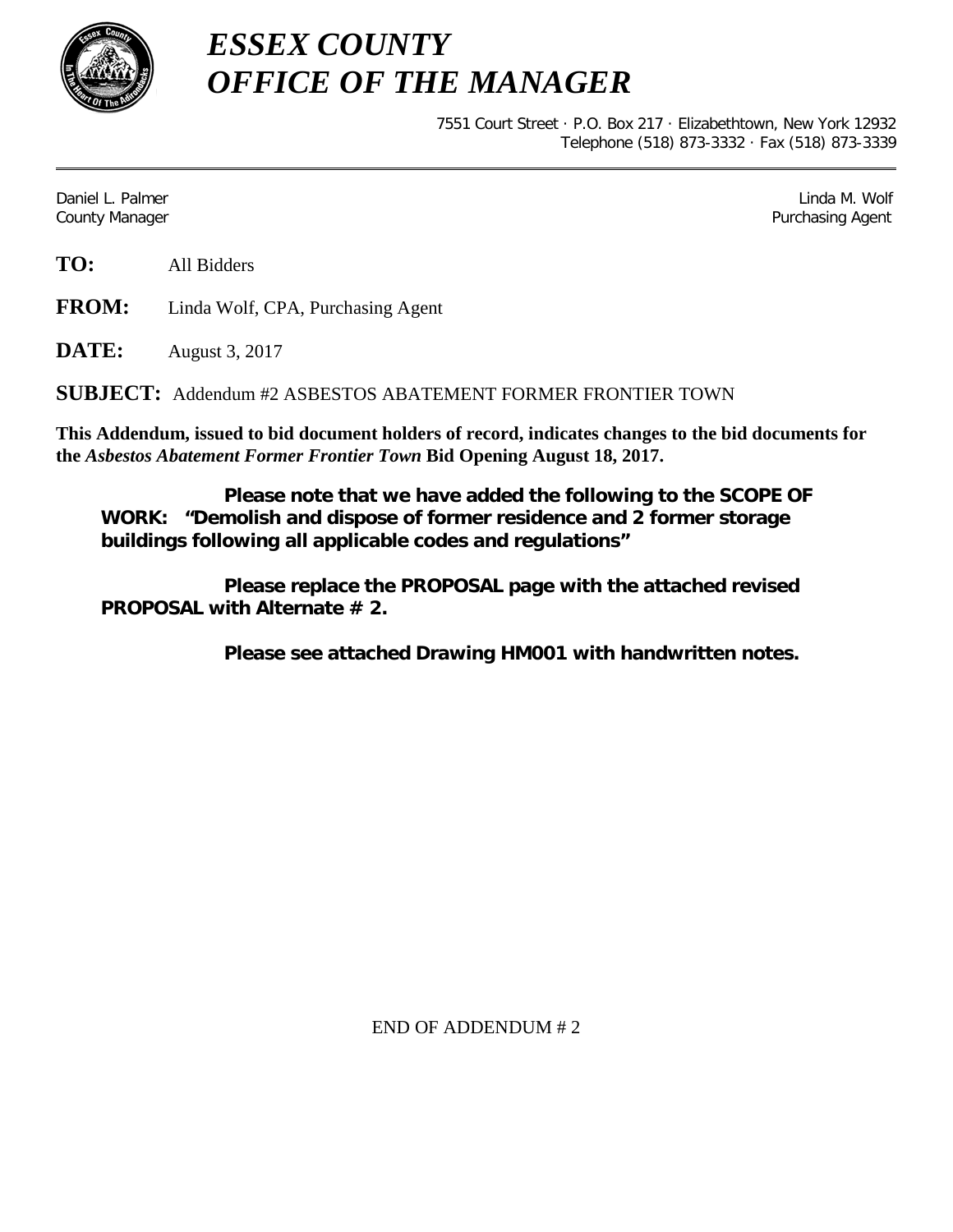

*ESSEX COUNTY OFFICE OF THE MANAGER*

> 7551 Court Street · P.O. Box 217 · Elizabethtown, New York 12932 Telephone (518) 873-3332 · Fax (518) 873-3339

Daniel L. Palmer Later and the control of the control of the control of the control of the control of the control of the control of the control of the control of the control of the control of the control of the control of County Manager Purchasing Agent

**TO:** All Bidders

**FROM:** Linda Wolf, CPA, Purchasing Agent

**DATE:** August 3, 2017

**SUBJECT:** Addendum #2 ASBESTOS ABATEMENT FORMER FRONTIER TOWN

**This Addendum, issued to bid document holders of record, indicates changes to the bid documents for the** *Asbestos Abatement Former Frontier Town* **Bid Opening August 18, 2017.**

**Please note that we have added the following to the SCOPE OF WORK: "Demolish and dispose of former residence and 2 former storage buildings following all applicable codes and regulations"**

**Please replace the PROPOSAL page with the attached revised PROPOSAL with Alternate # 2.**

**Please see attached Drawing HM001 with handwritten notes.**

END OF ADDENDUM # 2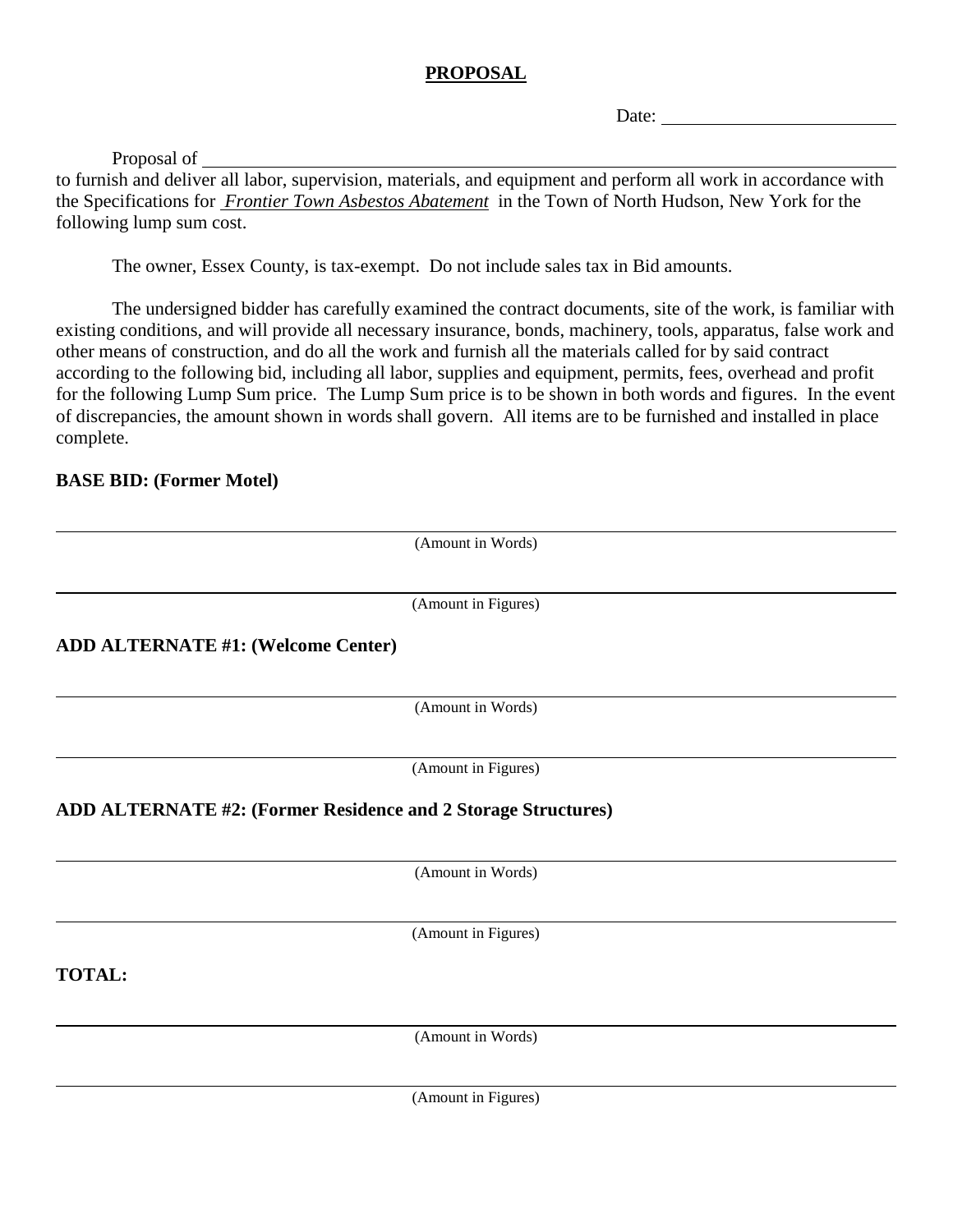## **PROPOSAL**

Date:

Proposal of

to furnish and deliver all labor, supervision, materials, and equipment and perform all work in accordance with the Specifications for *Frontier Town Asbestos Abatement* in the Town of North Hudson, New York for the following lump sum cost.

The owner, Essex County, is tax-exempt. Do not include sales tax in Bid amounts.

The undersigned bidder has carefully examined the contract documents, site of the work, is familiar with existing conditions, and will provide all necessary insurance, bonds, machinery, tools, apparatus, false work and other means of construction, and do all the work and furnish all the materials called for by said contract according to the following bid, including all labor, supplies and equipment, permits, fees, overhead and profit for the following Lump Sum price. The Lump Sum price is to be shown in both words and figures. In the event of discrepancies, the amount shown in words shall govern. All items are to be furnished and installed in place complete.

### **BASE BID: (Former Motel)**

|                                                               | (Amount in Words)                         |
|---------------------------------------------------------------|-------------------------------------------|
|                                                               | (Amount in Figures)                       |
|                                                               |                                           |
| <b>ADD ALTERNATE #1: (Welcome Center)</b>                     |                                           |
|                                                               | (Amount in Words)                         |
|                                                               | (Amount in Figures)                       |
| ADD ALTERNATE #2: (Former Residence and 2 Storage Structures) |                                           |
|                                                               | (Amount in Words)                         |
|                                                               |                                           |
|                                                               | (Amount in Figures)                       |
| <b>TOTAL:</b>                                                 |                                           |
|                                                               | (Amount in Words)                         |
|                                                               |                                           |
|                                                               | $\sim$ $\sim$<br>$\overline{\phantom{a}}$ |

(Amount in Figures)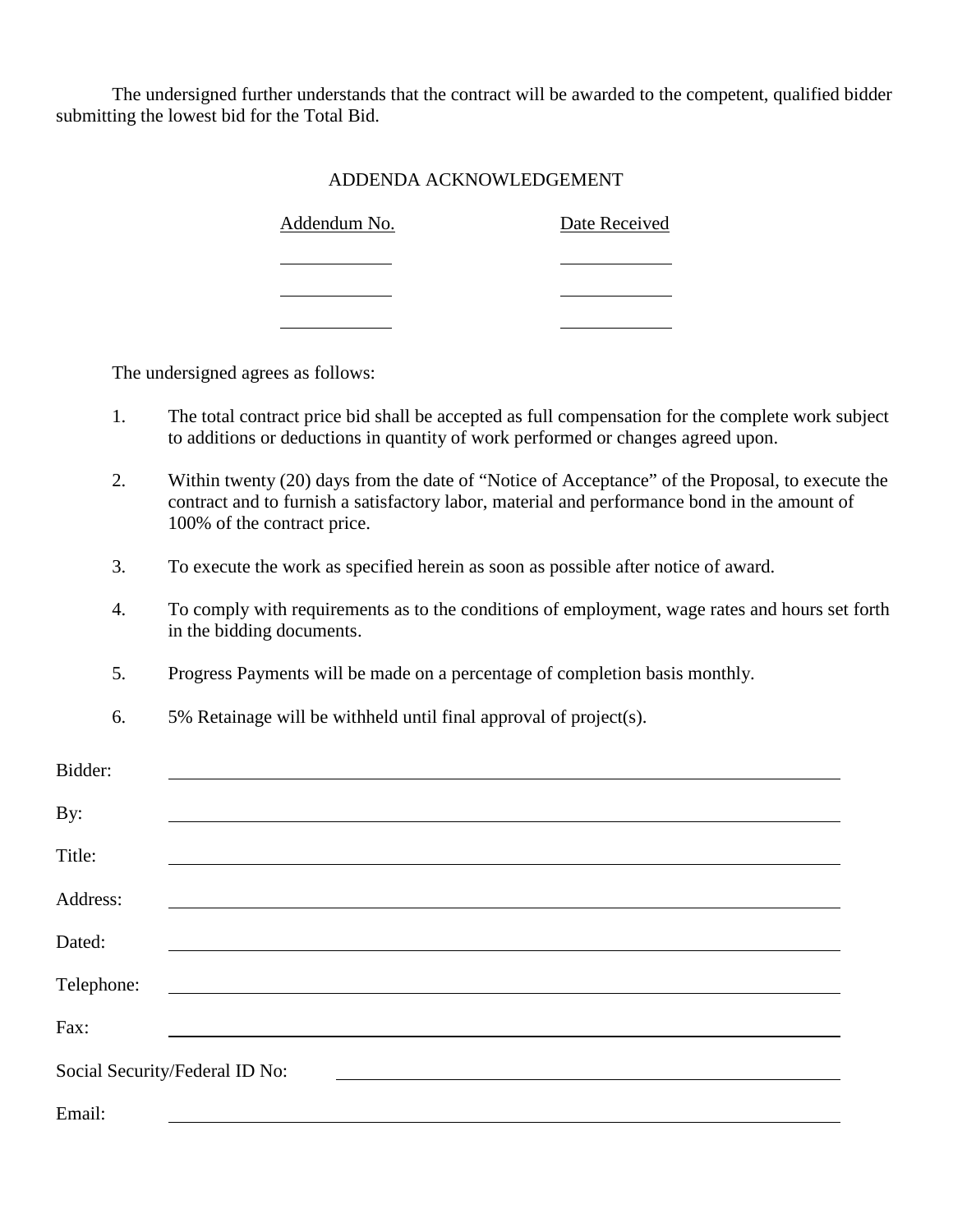The undersigned further understands that the contract will be awarded to the competent, qualified bidder submitting the lowest bid for the Total Bid.

#### ADDENDA ACKNOWLEDGEMENT

| Addendum No. | Date Received |  |  |
|--------------|---------------|--|--|
|              |               |  |  |
|              |               |  |  |

The undersigned agrees as follows:

- 1. The total contract price bid shall be accepted as full compensation for the complete work subject to additions or deductions in quantity of work performed or changes agreed upon.
- 2. Within twenty (20) days from the date of "Notice of Acceptance" of the Proposal, to execute the contract and to furnish a satisfactory labor, material and performance bond in the amount of 100% of the contract price.
- 3. To execute the work as specified herein as soon as possible after notice of award.
- 4. To comply with requirements as to the conditions of employment, wage rates and hours set forth in the bidding documents.
- 5. Progress Payments will be made on a percentage of completion basis monthly.
- 6. 5% Retainage will be withheld until final approval of project(s).

| Bidder:    |                                |
|------------|--------------------------------|
| By:        |                                |
| Title:     |                                |
| Address:   |                                |
| Dated:     |                                |
| Telephone: |                                |
| Fax:       |                                |
|            | Social Security/Federal ID No: |
| Email:     |                                |